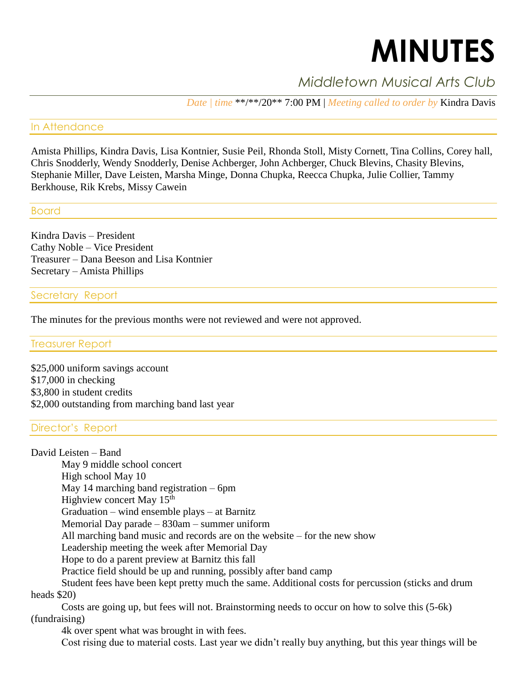# **MINUTES**

# *Middletown Musical Arts Club*

*Date | time* \*\*/\*\*/20\*\* 7:00 PM | *Meeting called to order by* Kindra Davis

#### In Attendance

Amista Phillips, Kindra Davis, Lisa Kontnier, Susie Peil, Rhonda Stoll, Misty Cornett, Tina Collins, Corey hall, Chris Snodderly, Wendy Snodderly, Denise Achberger, John Achberger, Chuck Blevins, Chasity Blevins, Stephanie Miller, Dave Leisten, Marsha Minge, Donna Chupka, Reecca Chupka, Julie Collier, Tammy Berkhouse, Rik Krebs, Missy Cawein

#### Board

Kindra Davis – President Cathy Noble – Vice President Treasurer – Dana Beeson and Lisa Kontnier Secretary – Amista Phillips

## Secretary Report

The minutes for the previous months were not reviewed and were not approved.

#### Treasurer Report

\$25,000 uniform savings account \$17,000 in checking \$3,800 in student credits \$2,000 outstanding from marching band last year

### Director's Report

David Leisten – Band May 9 middle school concert High school May 10 May 14 marching band registration – 6pm Highview concert May 15<sup>th</sup> Graduation – wind ensemble plays – at Barnitz Memorial Day parade – 830am – summer uniform All marching band music and records are on the website – for the new show Leadership meeting the week after Memorial Day Hope to do a parent preview at Barnitz this fall Practice field should be up and running, possibly after band camp Student fees have been kept pretty much the same. Additional costs for percussion (sticks and drum heads \$20)

Costs are going up, but fees will not. Brainstorming needs to occur on how to solve this (5-6k) (fundraising)

4k over spent what was brought in with fees.

Cost rising due to material costs. Last year we didn't really buy anything, but this year things will be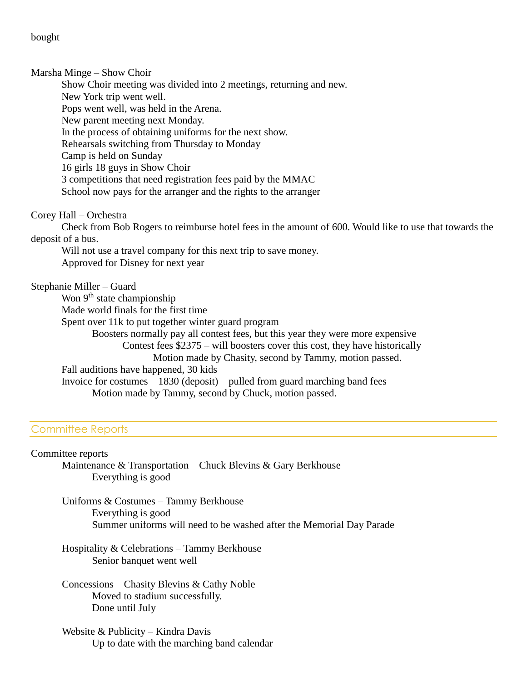bought

Marsha Minge – Show Choir

Show Choir meeting was divided into 2 meetings, returning and new. New York trip went well. Pops went well, was held in the Arena. New parent meeting next Monday. In the process of obtaining uniforms for the next show. Rehearsals switching from Thursday to Monday Camp is held on Sunday 16 girls 18 guys in Show Choir 3 competitions that need registration fees paid by the MMAC School now pays for the arranger and the rights to the arranger

Corey Hall – Orchestra

Check from Bob Rogers to reimburse hotel fees in the amount of 600. Would like to use that towards the deposit of a bus.

Will not use a travel company for this next trip to save money. Approved for Disney for next year

Stephanie Miller – Guard

Won 9<sup>th</sup> state championship Made world finals for the first time Spent over 11k to put together winter guard program Boosters normally pay all contest fees, but this year they were more expensive Contest fees \$2375 – will boosters cover this cost, they have historically Motion made by Chasity, second by Tammy, motion passed. Fall auditions have happened, 30 kids Invoice for costumes – 1830 (deposit) – pulled from guard marching band fees Motion made by Tammy, second by Chuck, motion passed.

### Committee Reports

Committee reports

Maintenance & Transportation – Chuck Blevins & Gary Berkhouse Everything is good

Uniforms & Costumes – Tammy Berkhouse Everything is good Summer uniforms will need to be washed after the Memorial Day Parade

Hospitality & Celebrations – Tammy Berkhouse Senior banquet went well

Concessions – Chasity Blevins & Cathy Noble Moved to stadium successfully. Done until July

Website & Publicity – Kindra Davis Up to date with the marching band calendar